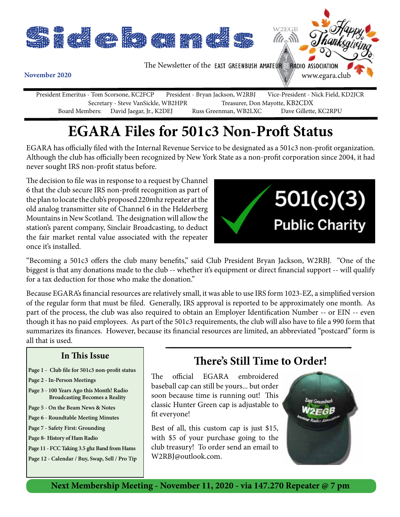

President Emeritus - Tom Scorsone, KC2FCP President - Bryan Jackson, W2RBJ Vice-President - Nick Field, KD2JCR Secretary - Steve VanSickle, WB2HPR Treasurer, Don Mayotte, KB2CDX<br>Board Members: David Jaegar, Jr., K2DEJ Russ Greenman, WB2LXC Dave Gillette, KC2RPU David Jaegar, Jr., K2DEJ Russ Greenman, WB2LXC

### **EGARA Files for 501c3 Non-Proft Status**

EGARA has officially filed with the Internal Revenue Service to be designated as a 501c3 non-profit organization. Although the club has officially been recognized by New York State as a non-profit corporation since 2004, it had never sought IRS non-profit status before.

The decision to file was in response to a request by Channel 6 that the club secure IRS non-profit recognition as part of the plan to locate the club's proposed 220mhz repeater at the old analog transmitter site of Channel 6 in the Helderberg Mountains in New Scotland. The designation will allow the station's parent company, Sinclair Broadcasting, to deduct the fair market rental value associated with the repeater once it's installed.



"Becoming a 501c3 offers the club many benefits," said Club President Bryan Jackson, W2RBJ. "One of the biggest is that any donations made to the club -- whether it's equipment or direct financial support -- will qualify for a tax deduction for those who make the donation."

Because EGARA's financial resources are relatively small, it was able to use IRS form 1023-EZ, a simplified version of the regular form that must be filed. Generally, IRS approval is reported to be approximately one month. As part of the process, the club was also required to obtain an Employer Identification Number -- or EIN -- even though it has no paid employees. As part of the 501c3 requirements, the club will also have to file a 990 form that summarizes its finances. However, because its financial resources are limited, an abbreviated "postcard" form is all that is used.

#### **In This Issue**

- **Page 1 Club file for 501c3 non-profit status**
- **Page 2 In-Person Meetings**
- **Page 3 100 Years Ago this Month! Radio Broadcasting Becomes a Reality**
- **Page 5 On the Beam News & Notes**
- **Page 6 Roundtable Meeting Minutes**
- **Page 7 Safety First: Grounding**
- **Page 8- History of Ham Radio**
- **Page 11 FCC Taking 3.5 ghz Band from Hams**

**Page 12 - Calendar / Buy, Swap, Sell / Pro Tip**

### **There's Still Time to Order!**

The official EGARA embroidered baseball cap can still be yours... but order soon because time is running out! This classic Hunter Green cap is adjustable to fit everyone!

Best of all, this custom cap is just \$15, with \$5 of your purchase going to the club treasury! To order send an email to W2RBJ@outlook.com.



**Next Membership Meeting - November 11, 2020 - via 147.270 Repeater @ 7 pm**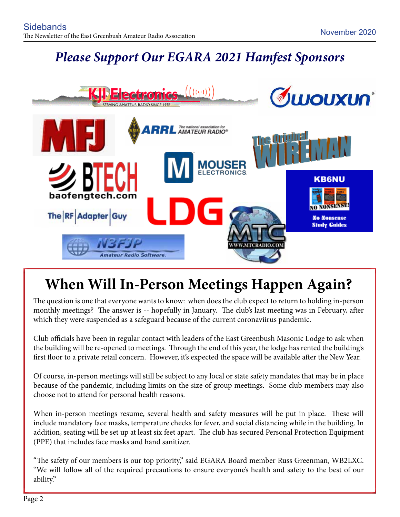### *Please Support Our EGARA 2021 Hamfest Sponsors*



## **When Will In-Person Meetings Happen Again?**

The question is one that everyone wants to know: when does the club expect to return to holding in-person monthly meetings? The answer is -- hopefully in January. The club's last meeting was in February, after which they were suspended as a safeguard because of the current coronaviirus pandemic.

Club officials have been in regular contact with leaders of the East Greenbush Masonic Lodge to ask when the building will be re-opened to meetings. Through the end of this year, the lodge has rented the building's first floor to a private retail concern. However, it's expected the space will be available after the New Year.

Of course, in-person meetings will still be subject to any local or state safety mandates that may be in place because of the pandemic, including limits on the size of group meetings. Some club members may also choose not to attend for personal health reasons.

When in-person meetings resume, several health and safety measures will be put in place. These will include mandatory face masks, temperature checks for fever, and social distancing while in the building. In addition, seating will be set up at least six feet apart. The club has secured Personal Protection Equipment (PPE) that includes face masks and hand sanitizer.

"The safety of our members is our top priority," said EGARA Board member Russ Greenman, WB2LXC. "We will follow all of the required precautions to ensure everyone's health and safety to the best of our ability."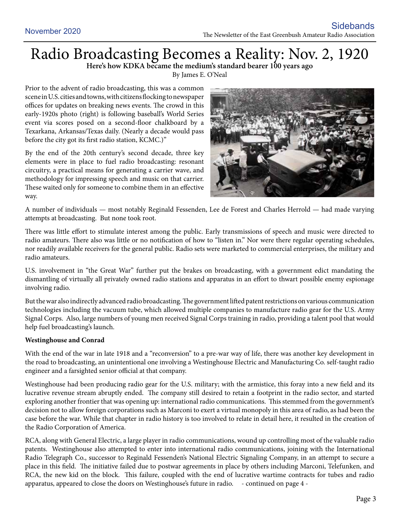# Radio Broadcasting Becomes a Reality: Nov. 2, 1920 **Here's how KDKA became the medium's standard bearer 100 years ago**

By James E. O'Neal

Prior to the advent of radio broadcasting, this was a common scene in U.S. cities and towns, with citizens flocking to newspaper offices for updates on breaking news events. The crowd in this early-1920s photo (right) is following baseball's World Series event via scores posed on a second-floor chalkboard by a Texarkana, Arkansas/Texas daily. (Nearly a decade would pass before the city got its first radio station, KCMC.)"

By the end of the 20th century's second decade, three key elements were in place to fuel radio broadcasting: resonant circuitry, a practical means for generating a carrier wave, and methodology for impressing speech and music on that carrier. These waited only for someone to combine them in an effective way.



A number of individuals — most notably Reginald Fessenden, Lee de Forest and Charles Herrold — had made varying attempts at broadcasting. But none took root.

There was little effort to stimulate interest among the public. Early transmissions of speech and music were directed to radio amateurs. There also was little or no notification of how to "listen in." Nor were there regular operating schedules, nor readily available receivers for the general public. Radio sets were marketed to commercial enterprises, the military and radio amateurs.

U.S. involvement in "the Great War" further put the brakes on broadcasting, with a government edict mandating the dismantling of virtually all privately owned radio stations and apparatus in an effort to thwart possible enemy espionage involving radio.

But the war also indirectly advanced radio broadcasting. The government lifted patent restrictions on various communication technologies including the vacuum tube, which allowed multiple companies to manufacture radio gear for the U.S. Army Signal Corps. Also, large numbers of young men received Signal Corps training in radio, providing a talent pool that would help fuel broadcasting's launch.

#### **Westinghouse and Conrad**

With the end of the war in late 1918 and a "reconversion" to a pre-war way of life, there was another key development in the road to broadcasting, an unintentional one involving a Westinghouse Electric and Manufacturing Co. self-taught radio engineer and a farsighted senior official at that company.

Westinghouse had been producing radio gear for the U.S. military; with the armistice, this foray into a new field and its lucrative revenue stream abruptly ended. The company still desired to retain a footprint in the radio sector, and started exploring another frontier that was opening up: international radio communications. This stemmed from the government's decision not to allow foreign corporations such as Marconi to exert a virtual monopoly in this area of radio, as had been the case before the war. While that chapter in radio history is too involved to relate in detail here, it resulted in the creation of the Radio Corporation of America.

RCA, along with General Electric, a large player in radio communications, wound up controlling most of the valuable radio patents. Westinghouse also attempted to enter into international radio communications, joining with the International Radio Telegraph Co., successor to Reginald Fessenden's National Electric Signaling Company, in an attempt to secure a place in this field. The initiative failed due to postwar agreements in place by others including Marconi, Telefunken, and RCA, the new kid on the block. This failure, coupled with the end of lucrative wartime contracts for tubes and radio apparatus, appeared to close the doors on Westinghouse's future in radio. - continued on page 4 -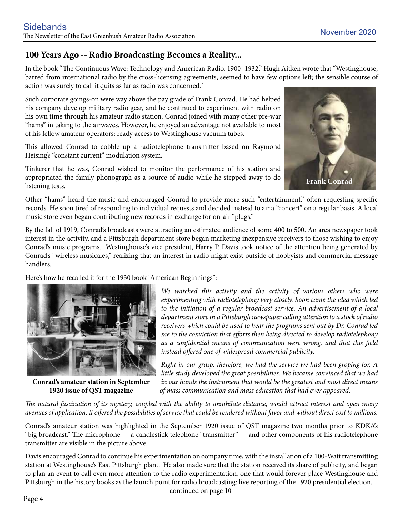#### **100 Years Ago -- Radio Broadcasting Becomes a Reality...**

In the book "The Continuous Wave: Technology and American Radio, 1900–1932," Hugh Aitken wrote that "Westinghouse, barred from international radio by the cross-licensing agreements, seemed to have few options left; the sensible course of action was surely to call it quits as far as radio was concerned."

Such corporate goings-on were way above the pay grade of Frank Conrad. He had helped his company develop military radio gear, and he continued to experiment with radio on his own time through his amateur radio station. Conrad joined with many other pre-war "hams" in taking to the airwaves. However, he enjoyed an advantage not available to most of his fellow amateur operators: ready access to Westinghouse vacuum tubes.

This allowed Conrad to cobble up a radiotelephone transmitter based on Raymond Heising's "constant current" modulation system.

Tinkerer that he was, Conrad wished to monitor the performance of his station and appropriated the family phonograph as a source of audio while he stepped away to do listening tests.



Other "hams" heard the music and encouraged Conrad to provide more such "entertainment," often requesting specific records. He soon tired of responding to individual requests and decided instead to air a "concert" on a regular basis. A local music store even began contributing new records in exchange for on-air "plugs."

By the fall of 1919, Conrad's broadcasts were attracting an estimated audience of some 400 to 500. An area newspaper took interest in the activity, and a Pittsburgh department store began marketing inexpensive receivers to those wishing to enjoy Conrad's music programs. Westinghouse's vice president, Harry P. Davis took notice of the attention being generated by Conrad's "wireless musicales," realizing that an interest in radio might exist outside of hobbyists and commercial message handlers.

Here's how he recalled it for the 1930 book "American Beginnings":



**Conrad's amateur station in September 1920 issue of QST magazine**

*We watched this activity and the activity of various others who were experimenting with radiotelephony very closely. Soon came the idea which led*  to the initiation of a regular broadcast service. An advertisement of a local *department store in a Pittsburgh newspaper calling attention to a stock of radio receivers which could be used to hear the programs sent out by Dr. Conrad led me to the conviction that efforts then being directed to develop radiotelephony as a confidential means of communication were wrong, and that this field instead offered one of widespread commercial publicity.*

*Right in our grasp, therefore, we had the service we had been groping for. A little study developed the great possibilities. We became convinced that we had in our hands the instrument that would be the greatest and most direct means of mass communication and mass education that had ever appeared.* 

*The natural fascination of its mystery, coupled with the ability to annihilate distance, would attract interest and open many avenues of application. It offered the possibilities of service that could be rendered without favor and without direct cost to millions.*

Conrad's amateur station was highlighted in the September 1920 issue of QST magazine two months prior to KDKA's "big broadcast." The microphone — a candlestick telephone "transmitter" — and other components of his radiotelephone transmitter are visible in the picture above.

Davis encouraged Conrad to continue his experimentation on company time, with the installation of a 100-Watt transmitting station at Westinghouse's East Pittsburgh plant. He also made sure that the station received its share of publicity, and began to plan an event to call even more attention to the radio experimentation, one that would forever place Westinghouse and Pittsburgh in the history books as the launch point for radio broadcasting: live reporting of the 1920 presidential election. -continued on page 10 -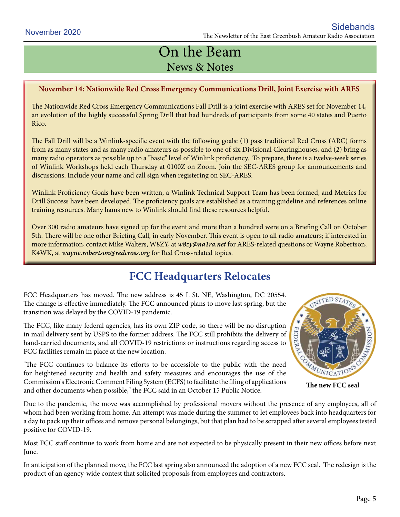### On the Beam News & Notes

#### **November 14: Nationwide Red Cross Emergency Communications Drill, Joint Exercise with ARES**

The Nationwide Red Cross Emergency Communications Fall Drill is a joint exercise with ARES set for November 14, an evolution of the highly successful Spring Drill that had hundreds of participants from some 40 states and Puerto Rico.

The Fall Drill will be a Winlink-specific event with the following goals: (1) pass traditional Red Cross (ARC) forms from as many states and as many radio amateurs as possible to one of six Divisional Clearinghouses, and (2) bring as many radio operators as possible up to a "basic" level of Winlink proficiency. To prepare, there is a twelve-week series of Winlink Workshops held each Thursday at 0100Z on Zoom. Join the SEC-ARES group for announcements and discussions. Include your name and call sign when registering on SEC-ARES.

Winlink Proficiency Goals have been written, a Winlink Technical Support Team has been formed, and Metrics for Drill Success have been developed. The proficiency goals are established as a training guideline and references online training resources. Many hams new to Winlink should find these resources helpful.

Over 300 radio amateurs have signed up for the event and more than a hundred were on a Briefing Call on October 5th. There will be one other Briefing Call, in early November. This event is open to all radio amateurs; if interested in more information, contact Mike Walters, W8ZY, at *w8zy@na1ra.net* for ARES-related questions or Wayne Robertson, K4WK, at *wayne.robertson@redcross.org* for Red Cross-related topics.

### **FCC Headquarters Relocates**

FCC Headquarters has moved. The new address is 45 L St. NE, Washington, DC 20554. The change is effective immediately. The FCC announced plans to move last spring, but the transition was delayed by the COVID-19 pandemic.

The FCC, like many federal agencies, has its own ZIP code, so there will be no disruption in mail delivery sent by USPS to the former address. The FCC still prohibits the delivery of hand-carried documents, and all COVID-19 restrictions or instructions regarding access to FCC facilities remain in place at the new location.

"The FCC continues to balance its efforts to be accessible to the public with the need for heightened security and health and safety measures and encourages the use of the Commission's Electronic Comment Filing System (ECFS) to facilitate the filing of applications and other documents when possible," the FCC said in an October 15 Public Notice.

**ITTED STATES** MATUNICATIO

**The new FCC seal**

Due to the pandemic, the move was accomplished by professional movers without the presence of any employees, all of whom had been working from home. An attempt was made during the summer to let employees back into headquarters for a day to pack up their offices and remove personal belongings, but that plan had to be scrapped after several employees tested positive for COVID-19.

Most FCC staff continue to work from home and are not expected to be physically present in their new offices before next June.

In anticipation of the planned move, the FCC last spring also announced the adoption of a new FCC seal. The redesign is the product of an agency-wide contest that solicited proposals from employees and contractors.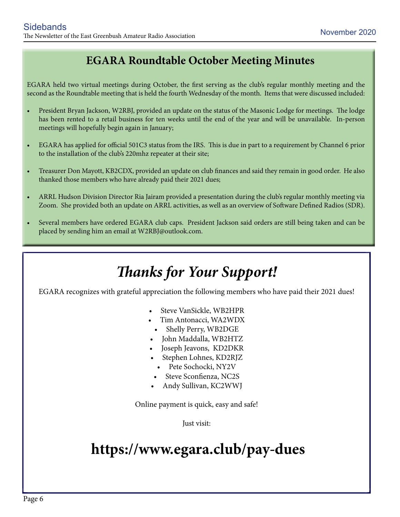### **EGARA Roundtable October Meeting Minutes**

EGARA held two virtual meetings during October, the first serving as the club's regular monthly meeting and the second as the Roundtable meeting that is held the fourth Wednesday of the month. Items that were discussed included:

- President Bryan Jackson, W2RBJ, provided an update on the status of the Masonic Lodge for meetings. The lodge has been rented to a retail business for ten weeks until the end of the year and will be unavailable. In-person meetings will hopefully begin again in January;
- EGARA has applied for official 501C3 status from the IRS. This is due in part to a requirement by Channel 6 prior to the installation of the club's 220mhz repeater at their site;
- Treasurer Don Mayott, KB2CDX, provided an update on club finances and said they remain in good order. He also thanked those members who have already paid their 2021 dues;
- ARRL Hudson Division Director Ria Jairam provided a presentation during the club's regular monthly meeting via Zoom. She provided both an update on ARRL activities, as well as an overview of Software Defined Radios (SDR).
- Several members have ordered EGARA club caps. President Jackson said orders are still being taken and can be placed by sending him an email at W2RBJ@outlook.com.

### *Thanks for Your Support!*

EGARA recognizes with grateful appreciation the following members who have paid their 2021 dues!

- Steve VanSickle, WB2HPR
- Tim Antonacci, WA2WDX
- Shelly Perry, WB2DGE
- • John Maddalla, WB2HTZ
- Joseph Jeavons, KD2DKR
- Stephen Lohnes, KD2RJZ
	- • Pete Sochocki, NY2V
- Steve Sconfienza, NC2S
- Andy Sullivan, KC2WWJ

Online payment is quick, easy and safe!

Just visit:

### **https://www.egara.club/pay-dues**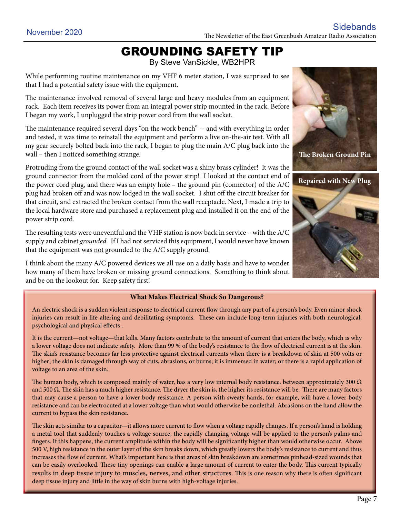### GROUNDING SAFETY TIP

By Steve VanSickle, WB2HPR

While performing routine maintenance on my VHF 6 meter station, I was surprised to see that I had a potential safety issue with the equipment.

The maintenance involved removal of several large and heavy modules from an equipment rack. Each item receives its power from an integral power strip mounted in the rack. Before I began my work, I unplugged the strip power cord from the wall socket.

The maintenance required several days "on the work bench" -- and with everything in order and tested, it was time to reinstall the equipment and perform a live on-the-air test. With all my gear securely bolted back into the rack, I began to plug the main A/C plug back into the wall – then I noticed something strange.

Protruding from the ground contact of the wall socket was a shiny brass cylinder! It was the ground connector from the molded cord of the power strip! I looked at the contact end of the power cord plug, and there was an empty hole – the ground pin (connector) of the A/C plug had broken off and was now lodged in the wall socket. I shut off the circuit breaker for that circuit, and extracted the broken contact from the wall receptacle. Next, I made a trip to the local hardware store and purchased a replacement plug and installed it on the end of the power strip cord.

The resulting tests were uneventful and the VHF station is now back in service --with the A/C supply and cabinet *grounded*. If I had not serviced this equipment, I would never have known that the equipment was not grounded to the A/C supply ground.

I think about the many A/C powered devices we all use on a daily basis and have to wonder how many of them have broken or missing ground connections. Something to think about and be on the lookout for. Keep safety first!

#### **What Makes Electrical Shock So Dangerous?**

An electric shock is a sudden violent response to electrical current flow through any part of a person's body. Even minor shock injuries can result in life-altering and debilitating symptoms. These can include long-term injuries with both neurological, psychological and physical effects .

It is the current—not voltage—that kills. Many factors contribute to the amount of current that enters the body, which is why a lower voltage does not indicate safety. More than 99 % of the body's resistance to the flow of electrical current is at the skin. The skin's resistance becomes far less protective against electrical currents when there is a breakdown of skin at 500 volts or higher; the skin is damaged through way of cuts, abrasions, or burns; it is immersed in water; or there is a rapid application of voltage to an area of the skin.

The human body, which is composed mainly of water, has a very low internal body resistance, between approximately 300  $\Omega$ and 500  $\Omega$ . The skin has a much higher resistance. The dryer the skin is, the higher its resistance will be. There are many factors that may cause a person to have a lower body resistance. A person with sweaty hands, for example, will have a lower body resistance and can be electrocuted at a lower voltage than what would otherwise be nonlethal. Abrasions on the hand allow the current to bypass the skin resistance.

The skin acts similar to a capacitor—it allows more current to flow when a voltage rapidly changes. If a person's hand is holding a metal tool that suddenly touches a voltage source, the rapidly changing voltage will be applied to the person's palms and fingers. If this happens, the current amplitude within the body will be significantly higher than would otherwise occur. Above 500 V, high resistance in the outer layer of the skin breaks down, which greatly lowers the body's resistance to current and thus increases the flow of current. What's important here is that areas of skin breakdown are sometimes pinhead-sized wounds that can be easily overlooked. These tiny openings can enable a large amount of current to enter the body. This current typically results in deep tissue injury to muscles, nerves, and other structures. This is one reason why there is often significant deep tissue injury and little in the way of skin burns with high-voltage injuries.



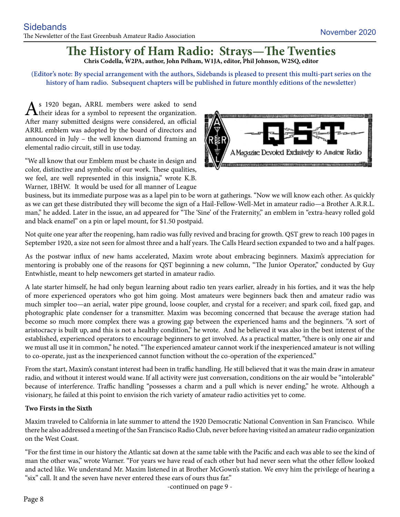#### **The History of Ham Radio: Strays—The Twenties Chris Codella, W2PA, author, John Pelham, W1JA, editor, Phil Johnson, W2SQ, editor**

**(Editor's note: By special arrangement with the authors, Sidebands is pleased to present this multi-part series on the history of ham radio. Subsequent chapters will be published in future monthly editions of the newsletter)**

 $\mathbf{A}$ <sup>s</sup> 1920 began, ARRL members were asked to send their ideas for a symbol to represent the organization. After many submitted designs were considered, an official ARRL emblem was adopted by the board of directors and announced in July – the well known diamond framing an elemental radio circuit, still in use today.

"We all know that our Emblem must be chaste in design and color, distinctive and symbolic of our work. These qualities, we feel, are well represented in this insignia," wrote K.B. Warner, 1BHW. It would be used for all manner of League



business, but its immediate purpose was as a lapel pin to be worn at gatherings. "Now we will know each other. As quickly as we can get these distributed they will become the sign of a Hail-Fellow-Well-Met in amateur radio—a Brother A.R.R.L. man," he added. Later in the issue, an ad appeared for "The 'Sine' of the Fraternity," an emblem in "extra-heavy rolled gold and black enamel" on a pin or lapel mount, for \$1.50 postpaid.

Not quite one year after the reopening, ham radio was fully revived and bracing for growth. QST grew to reach 100 pages in September 1920, a size not seen for almost three and a half years. The Calls Heard section expanded to two and a half pages.

As the postwar influx of new hams accelerated, Maxim wrote about embracing beginners. Maxim's appreciation for mentoring is probably one of the reasons for QST beginning a new column, "The Junior Operator," conducted by Guy Entwhistle, meant to help newcomers get started in amateur radio.

A late starter himself, he had only begun learning about radio ten years earlier, already in his forties, and it was the help of more experienced operators who got him going. Most amateurs were beginners back then and amateur radio was much simpler too—an aerial, water pipe ground, loose coupler, and crystal for a receiver; and spark coil, fixed gap, and photographic plate condenser for a transmitter. Maxim was becoming concerned that because the average station had become so much more complex there was a growing gap between the experienced hams and the beginners. "A sort of aristocracy is built up, and this is not a healthy condition," he wrote. And he believed it was also in the best interest of the established, experienced operators to encourage beginners to get involved. As a practical matter, "there is only one air and we must all use it in common," he noted. "The experienced amateur cannot work if the inexperienced amateur is not willing to co-operate, just as the inexperienced cannot function without the co-operation of the experienced."

From the start, Maxim's constant interest had been in traffic handling. He still believed that it was the main draw in amateur radio, and without it interest would wane. If all activity were just conversation, conditions on the air would be "intolerable" because of interference. Traffic handling "possesses a charm and a pull which is never ending," he wrote. Although a visionary, he failed at this point to envision the rich variety of amateur radio activities yet to come.

#### **Two Firsts in the Sixth**

Maxim traveled to California in late summer to attend the 1920 Democratic National Convention in San Francisco. While there he also addressed a meeting of the San Francisco Radio Club, never before having visited an amateur radio organization on the West Coast.

"For the first time in our history the Atlantic sat down at the same table with the Pacific and each was able to see the kind of man the other was," wrote Warner. "For years we have read of each other but had never seen what the other fellow looked and acted like. We understand Mr. Maxim listened in at Brother McGown's station. We envy him the privilege of hearing a "six" call. It and the seven have never entered these ears of ours thus far."

-continued on page 9 -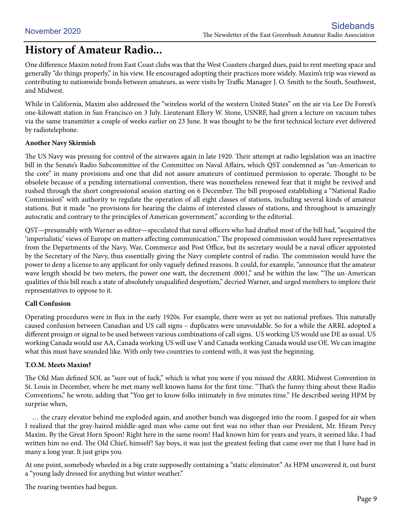### **History of Amateur Radio...**

One difference Maxim noted from East Coast clubs was that the West Coasters charged dues, paid to rent meeting space and generally "do things properly," in his view. He encouraged adopting their practices more widely. Maxim's trip was viewed as contributing to nationwide bonds between amateurs, as were visits by Traffic Manager J. O. Smith to the South, Southwest, and Midwest.

While in California, Maxim also addressed the "wireless world of the western United States" on the air via Lee De Forest's one-kilowatt station in San Francisco on 3 July. Lieutenant Ellery W. Stone, USNRF, had given a lecture on vacuum tubes via the same transmitter a couple of weeks earlier on 23 June. It was thought to be the first technical lecture ever delivered by radiotelephone.

#### **Another Navy Skirmish**

The US Navy was pressing for control of the airwaves again in late 1920. Their attempt at radio legislation was an inactive bill in the Senate's Radio Subcommittee of the Committee on Naval Affairs, which QST condemned as "un-American to the core" in many provisions and one that did not assure amateurs of continued permission to operate. Thought to be obsolete because of a pending international convention, there was nonetheless renewed fear that it might be revived and rushed through the short congressional session starting on 6 December. The bill proposed establishing a "National Radio Commission" with authority to regulate the operation of all eight classes of stations, including several kinds of amateur stations. But it made "no provisions for hearing the claims of interested classes of stations, and throughout is amazingly autocratic and contrary to the principles of American government," according to the editorial.

QST—presumably with Warner as editor—speculated that naval officers who had drafted most of the bill had, "acquired the 'imperialistic' views of Europe on matters affecting communication." The proposed commission would have representatives from the Departments of the Navy, War, Commerce and Post Office, but its secretary would be a naval officer appointed by the Secretary of the Navy, thus essentially giving the Navy complete control of radio. The commission would have the power to deny a license to any applicant for only vaguely defined reasons. It could, for example, "announce that the amateur wave length should be two meters, the power one watt, the decrement .0001," and be within the law. "The un-American qualities of this bill reach a state of absolutely unqualified despotism," decried Warner, and urged members to implore their representatives to oppose to it.

#### **Call Confusion**

Operating procedures were in flux in the early 1920s. For example, there were as yet no national prefixes. This naturally caused confusion between Canadian and US call signs – duplicates were unavoidable. So for a while the ARRL adopted a different prosign or signal to be used between various combinations of call signs. US working US would use DE as usual. US working Canada would use AA, Canada working US will use V and Canada working Canada would use OE. We can imagine what this must have sounded like. With only two countries to contend with, it was just the beginning.

#### **T.O.M. Meets Maxim?**

The Old Man defined SOL as "sure out of luck," which is what you were if you missed the ARRL Midwest Convention in St. Louis in December, where he met many well known hams for the first time. "That's the funny thing about these Radio Conventions," he wrote, adding that "You get to know folks intimately in five minutes time." He described seeing HPM by surprise when,

 … the crazy elevator behind me exploded again, and another bunch was disgorged into the room. I gasped for air when I realized that the gray-haired middle-aged man who came out first was no other than our President, Mr. Hiram Percy Maxim. By the Great Horn Spoon! Right here in the same room! Had known him for years and years, it seemed like. I had written him no end. The Old Chief, himself! Say boys, it was just the greatest feeling that came over me that I have had in many a long year. It just grips you.

At one point, somebody wheeled in a big crate supposedly containing a "static eliminator." As HPM uncovered it, out burst a "young lady dressed for anything but winter weather."

The roaring twenties had begun.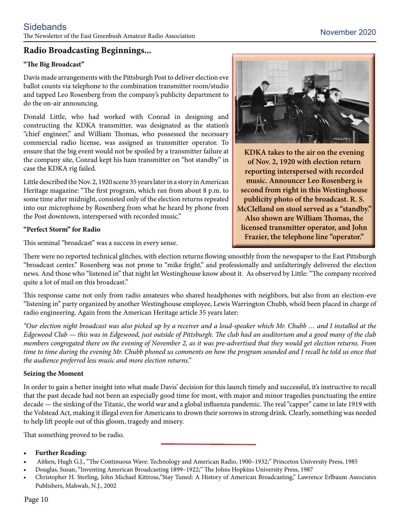#### **Radio Broadcasting Beginnings...**

#### **"The Big Broadcast"**

Davis made arrangements with the Pittsburgh Post to deliver election eve ballot counts via telephone to the combination transmitter room/studio and tapped Leo Rosenberg from the company's publicity department to do the on-air announcing.

Donald Little, who had worked with Conrad in designing and constructing the KDKA transmitter, was designated as the station's "chief engineer," and William Thomas, who possessed the necessary commercial radio license, was assigned as transmitter operator. To ensure that the big event would not be spoiled by a transmitter failure at the company site, Conrad kept his ham transmitter on "hot standby" in case the KDKA rig failed.

Little described the Nov. 2, 1920 scene 35 years later in a story in American Heritage magazine: "The first program, which ran from about 8 p.m. to some time after midnight, consisted only of the election returns repeated into our microphone by Rosenberg from what he heard by phone from the Post downtown, interspersed with recorded music."

#### **"Perfect Storm" for Radio**

This seminal "broadcast" was a success in every sense.



**KDKA takes to the air on the evening of Nov. 2, 1920 with election return reporting interspersed with recorded music. Announcer Leo Rosenberg is second from right in this Westinghouse publicity photo of the broadcast. R. S. McClelland on stool served as a "standby." Also shown are William Thomas, the licensed transmitter operator, and John Frazier, the telephone line "operator."** 

There were no reported technical glitches, with election returns flowing smoothly from the newspaper to the East Pittsburgh "broadcast center." Rosenberg was not prone to "mike fright," and professionally and unfalteringly delivered the election news. And those who "listened in" that night let Westinghouse know about it. As observed by Little: "The company received quite a lot of mail on this broadcast."

This response came not only from radio amateurs who shared headphones with neighbors, but also from an election-eve "listening in" party organized by another Westinghouse employee, Lewis Warrington Chubb, who'd been placed in charge of radio engineering. Again from the American Heritage article 35 years later:

*"Our election night broadcast was also picked up by a receiver and a loud-speaker which Mr. Chubb … and I installed at the Edgewood Club — this was in Edgewood, just outside of Pittsburgh. The club had an auditorium and a good many of the club members congregated there on the evening of November 2, as it was pre-advertised that they would get election returns. From*  time to time during the evening Mr. Chubb phoned us comments on how the program sounded and I recall he told us once that *the audience preferred less music and more election returns."*

#### **Seizing the Moment**

In order to gain a better insight into what made Davis' decision for this launch timely and successful, it's instructive to recall that the past decade had not been an especially good time for most, with major and minor tragedies punctuating the entire decade — the sinking of the Titanic, the world war and a global influenza pandemic. The real "capper" came in late 1919 with the Volstead Act, making it illegal even for Americans to drown their sorrows in strong drink. Clearly, something was needed to help lift people out of this gloom, tragedy and misery.

That something proved to be radio.

#### **Further Reading:**

- Aitken, Hugh G.J., "The Continuous Wave: Technology and American Radio, 1900–1932;" Princeton University Press, 1985
- Douglas, Susan, "Inventing American Broadcasting 1899–1922;" The Johns Hopkins University Press, 1987
- Christopher H. Sterling, John Michael Kittross, "Stay Tuned: A History of American Broadcasting," Lawrence Erlbaum Associates Publishers, Mahwah, N.J., 2002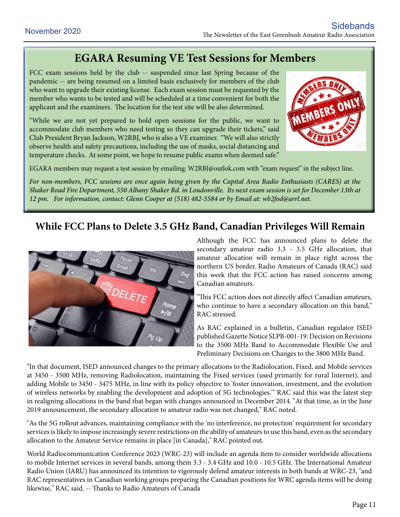### **EGARA Resuming VE Test Sessions for Members**

FCC exam sessions held by the club -- suspended since last Spring because of the pandemic -- are being resumed on a limited basis exclusively for members of the club who want to upgrade their existing license. Each exam session must be requested by the member who wants to be tested and will be scheduled at a time convenient for both the applicant and the examiners. The location for the test site will be also determined.

"While we are not yet prepared to hold open sessions for the public, we want to accommodate club members who need testing so they can upgrade their tickets," said Club President Bryan Jackson, W2RBJ, who is also a VE examiner. "We will also strictly observe health and safety precautions, including the use of masks, social distancing and temperature checks. At some point, we hope to resume public exams when deemed safe."



EGARA members may request a test session by emailing: W2RBJ@outlok.com with "exam request" in the subject line.

*For non-members, FCC sessions are once again being given by the Capital Area Radio Enthusiasts (CARES) at the Shaker Road Fire Department, 550 Albany Shaker Rd. in Loudonville. Its next exam session is set for December 13th at 12 pm. For information, contact: Glenn Cooper at (518) 482-5584 or by Email at: wb2fod@arrl.net.*

### **While FCC Plans to Delete 3.5 GHz Band, Canadian Privileges Will Remain**



Although the FCC has announced plans to delete the secondary amateur radio 3.3 - 3.5 GHz allocation, that amateur allocation will remain in place right across the northern US border. Radio Amateurs of Canada (RAC) said this week that the FCC action has raised concerns among Canadian amateurs.

"This FCC action does not directly affect Canadian amateurs, who continue to have a secondary allocation on this band," RAC stressed.

As RAC explained in a bulletin, Canadian regulator ISED published Gazette Notice SLPB-001-19: Decision on Revisions to the 3500 MHz Band to Accommodate Flexible Use and Preliminary Decisions on Changes to the 3800 MHz Band.

"In that document, ISED announced changes to the primary allocations to the Radiolocation, Fixed, and Mobile services at 3450 - 3500 MHz, removing Radiolocation, maintaining the Fixed services (used primarily for rural Internet), and adding Mobile to 3450 - 3475 MHz, in line with its policy objective to 'foster innovation, investment, and the evolution of wireless networks by enabling the development and adoption of 5G technologies.'" RAC said this was the latest step in realigning allocations in the band that began with changes announced in December 2014. "At that time, as in the June 2019 announcement, the secondary allocation to amateur radio was not changed," RAC noted.

"As the 5G rollout advances, maintaining compliance with the 'no interference, no protection' requirement for secondary services is likely to impose increasingly severe restrictions on the ability of amateurs to use this band, even as the secondary allocation to the Amateur Service remains in place [in Canada]," RAC pointed out.

World Radiocommunication Conference 2023 (WRC-23) will include an agenda item to consider worldwide allocations to mobile Internet services in several bands, among them 3.3 - 3.4 GHz and 10.0 - 10.5 GHz. The International Amateur Radio Union (IARU) has announced its intention to vigorously defend amateur interests in both bands at WRC-23, "and RAC representatives in Canadian working groups preparing the Canadian positions for WRC agenda items will be doing likewise," RAC said. -- Thanks to Radio Amateurs of Canada